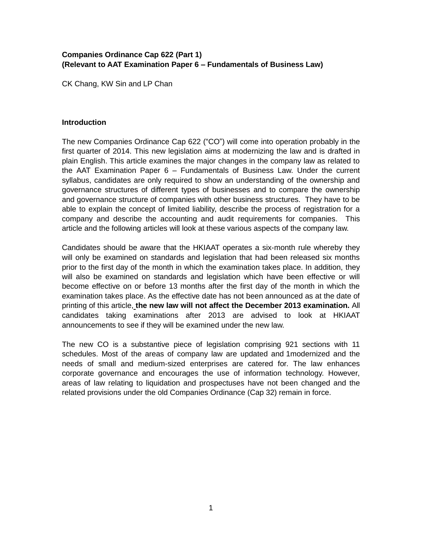## **Companies Ordinance Cap 622 (Part 1) (Relevant to AAT Examination Paper 6 – Fundamentals of Business Law)**

CK Chang, KW Sin and LP Chan

## **Introduction**

The new Companies Ordinance Cap 622 ("CO") will come into operation probably in the first quarter of 2014. This new legislation aims at modernizing the law and is drafted in plain English. This article examines the major changes in the company law as related to the AAT Examination Paper 6 – Fundamentals of Business Law. Under the current syllabus, candidates are only required to show an understanding of the ownership and governance structures of different types of businesses and to compare the ownership and governance structure of companies with other business structures. They have to be able to explain the concept of limited liability, describe the process of registration for a company and describe the accounting and audit requirements for companies. This article and the following articles will look at these various aspects of the company law.

Candidates should be aware that the HKIAAT operates a six-month rule whereby they will only be examined on standards and legislation that had been released six months prior to the first day of the month in which the examination takes place. In addition, they will also be examined on standards and legislation which have been effective or will become effective on or before 13 months after the first day of the month in which the examination takes place. As the effective date has not been announced as at the date of printing of this article, **the new law will not affect the December 2013 examination.** All candidates taking examinations after 2013 are advised to look at HKIAAT announcements to see if they will be examined under the new law.

The new CO is a substantive piece of legislation comprising 921 sections with 11 schedules. Most of the areas of company law are updated and 1modernized and the needs of small and medium-sized enterprises are catered for. The law enhances corporate governance and encourages the use of information technology. However, areas of law relating to liquidation and prospectuses have not been changed and the related provisions under the old Companies Ordinance (Cap 32) remain in force.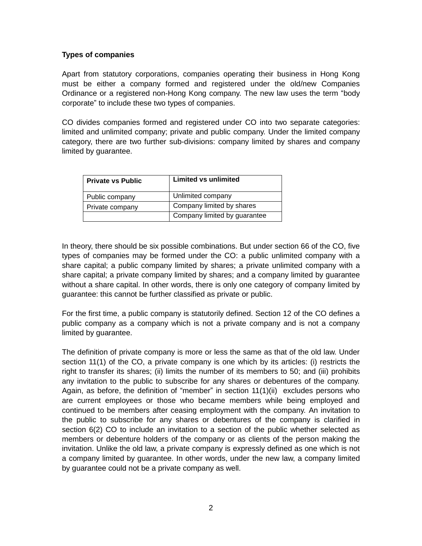## **Types of companies**

Apart from statutory corporations, companies operating their business in Hong Kong must be either a company formed and registered under the old/new Companies Ordinance or a registered non-Hong Kong company. The new law uses the term "body corporate" to include these two types of companies.

CO divides companies formed and registered under CO into two separate categories: limited and unlimited company; private and public company. Under the limited company category, there are two further sub-divisions: company limited by shares and company limited by guarantee.

| <b>Private vs Public</b> | Limited vs unlimited         |
|--------------------------|------------------------------|
| Public company           | Unlimited company            |
| Private company          | Company limited by shares    |
|                          | Company limited by guarantee |

In theory, there should be six possible combinations. But under section 66 of the CO, five types of companies may be formed under the CO: a public unlimited company with a share capital; a public company limited by shares; a private unlimited company with a share capital; a private company limited by shares; and a company limited by guarantee without a share capital. In other words, there is only one category of company limited by guarantee: this cannot be further classified as private or public.

For the first time, a public company is statutorily defined. Section 12 of the CO defines a public company as a company which is not a private company and is not a company limited by guarantee.

The definition of private company is more or less the same as that of the old law. Under section 11(1) of the CO, a private company is one which by its articles: (i) restricts the right to transfer its shares; (ii) limits the number of its members to 50; and (iii) prohibits any invitation to the public to subscribe for any shares or debentures of the company. Again, as before, the definition of "member" in section 11(1)(ii) excludes persons who are current employees or those who became members while being employed and continued to be members after ceasing employment with the company. An invitation to the public to subscribe for any shares or debentures of the company is clarified in section 6(2) CO to include an invitation to a section of the public whether selected as members or debenture holders of the company or as clients of the person making the invitation. Unlike the old law, a private company is expressly defined as one which is not a company limited by guarantee. In other words, under the new law, a company limited by guarantee could not be a private company as well.